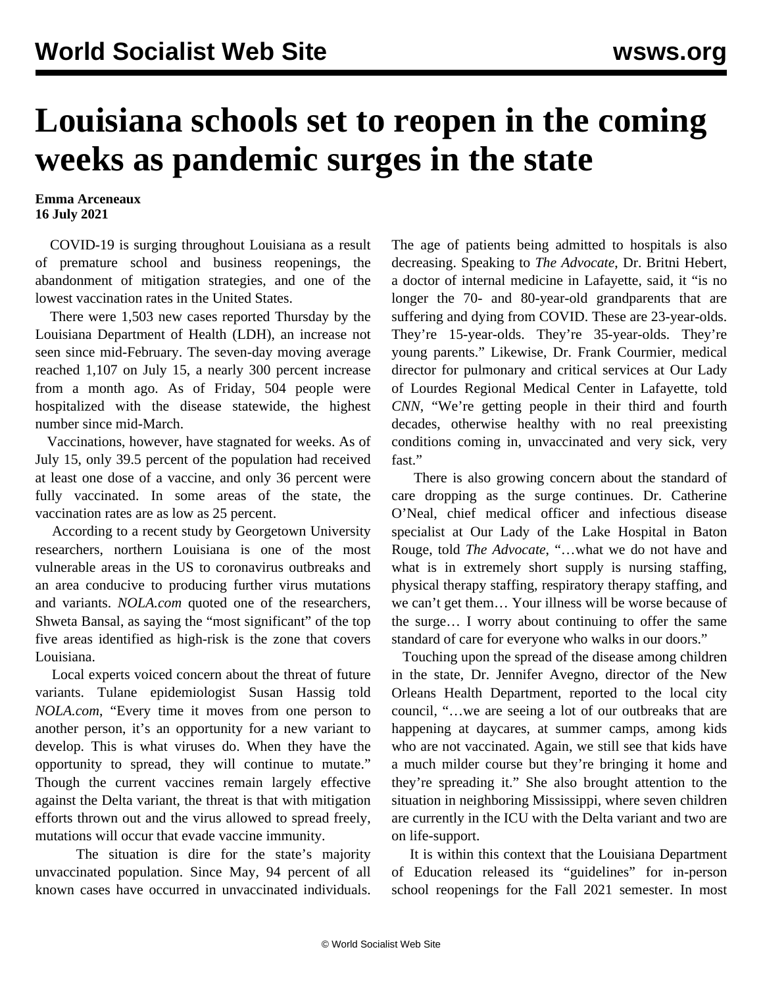## **Louisiana schools set to reopen in the coming weeks as pandemic surges in the state**

**Emma Arceneaux 16 July 2021**

 COVID-19 is surging throughout Louisiana as a result of premature school and business reopenings, the abandonment of mitigation strategies, and one of the lowest vaccination rates in the United States.

 There were 1,503 new cases reported Thursday by the Louisiana Department of Health (LDH), an increase not seen since mid-February. The seven-day moving average reached 1,107 on July 15, a nearly 300 percent increase from a month ago. As of Friday, 504 people were hospitalized with the disease statewide, the highest number since mid-March.

 Vaccinations, however, have stagnated for weeks. As of July 15, only 39.5 percent of the population had received at least one dose of a vaccine, and only 36 percent were fully vaccinated. In some areas of the state, the vaccination rates are as low as 25 percent.

 According to a recent study by Georgetown University researchers, northern Louisiana is one of the most vulnerable areas in the US to coronavirus outbreaks and an area conducive to producing further virus mutations and variants. *NOLA.com* quoted one of the researchers, Shweta Bansal, as saying the "most significant" of the top five areas identified as high-risk is the zone that covers Louisiana.

 Local experts voiced concern about the threat of future variants. Tulane epidemiologist Susan Hassig told *NOLA.com*, "Every time it moves from one person to another person, it's an opportunity for a new variant to develop. This is what viruses do. When they have the opportunity to spread, they will continue to mutate." Though the current vaccines remain largely effective against the Delta variant, the threat is that with mitigation efforts thrown out and the virus allowed to spread freely, mutations will occur that evade vaccine immunity.

 The situation is dire for the state's majority unvaccinated population. Since May, 94 percent of all known cases have occurred in unvaccinated individuals. The age of patients being admitted to hospitals is also decreasing. Speaking to *The Advocate*, Dr. Britni Hebert, a doctor of internal medicine in Lafayette, said, it "is no longer the 70- and 80-year-old grandparents that are suffering and dying from COVID. These are 23-year-olds. They're 15-year-olds. They're 35-year-olds. They're young parents." Likewise, Dr. Frank Courmier, medical director for pulmonary and critical services at Our Lady of Lourdes Regional Medical Center in Lafayette, told *CNN*, "We're getting people in their third and fourth decades, otherwise healthy with no real preexisting conditions coming in, unvaccinated and very sick, very fast."

 There is also growing concern about the standard of care dropping as the surge continues. Dr. Catherine O'Neal, chief medical officer and infectious disease specialist at Our Lady of the Lake Hospital in Baton Rouge, told *The Advocate*, "…what we do not have and what is in extremely short supply is nursing staffing, physical therapy staffing, respiratory therapy staffing, and we can't get them… Your illness will be worse because of the surge… I worry about continuing to offer the same standard of care for everyone who walks in our doors."

 Touching upon the spread of the disease among children in the state, Dr. Jennifer Avegno, director of the New Orleans Health Department, reported to the local city council, "…we are seeing a lot of our outbreaks that are happening at daycares, at summer camps, among kids who are not vaccinated. Again, we still see that kids have a much milder course but they're bringing it home and they're spreading it." She also brought attention to the situation in neighboring Mississippi, where seven children are currently in the ICU with the Delta variant and two are on life-support.

 It is within this context that the Louisiana Department of Education released its "guidelines" for in-person school reopenings for the Fall 2021 semester. In most